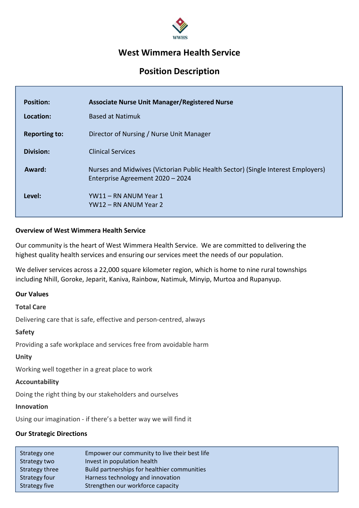

# West Wimmera Health Service

# Position Description

| <b>Position:</b>     | <b>Associate Nurse Unit Manager/Registered Nurse</b>                                                                 |
|----------------------|----------------------------------------------------------------------------------------------------------------------|
| Location:            | <b>Based at Natimuk</b>                                                                                              |
| <b>Reporting to:</b> | Director of Nursing / Nurse Unit Manager                                                                             |
| <b>Division:</b>     | <b>Clinical Services</b>                                                                                             |
| Award:               | Nurses and Midwives (Victorian Public Health Sector) (Single Interest Employers)<br>Enterprise Agreement 2020 - 2024 |
| Level:               | YW11 – RN ANUM Year 1<br>YW12 – RN ANUM Year 2                                                                       |

#### Overview of West Wimmera Health Service

Our community is the heart of West Wimmera Health Service. We are committed to delivering the highest quality health services and ensuring our services meet the needs of our population.

We deliver services across a 22,000 square kilometer region, which is home to nine rural townships including Nhill, Goroke, Jeparit, Kaniva, Rainbow, Natimuk, Minyip, Murtoa and Rupanyup.

#### Our Values

#### Total Care

Delivering care that is safe, effective and person-centred, always

#### Safety

Providing a safe workplace and services free from avoidable harm

#### Unity

Working well together in a great place to work

#### Accountability

Doing the right thing by our stakeholders and ourselves

#### Innovation

Using our imagination - if there's a better way we will find it

#### Our Strategic Directions

| Strategy one   | Empower our community to live their best life |
|----------------|-----------------------------------------------|
| Strategy two   | Invest in population health                   |
| Strategy three | Build partnerships for healthier communities  |
| Strategy four  | Harness technology and innovation             |
| Strategy five  | Strengthen our workforce capacity             |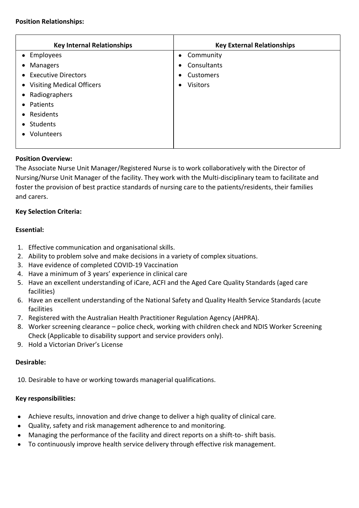#### Position Relationships:

| <b>Key Internal Relationships</b> | <b>Key External Relationships</b> |
|-----------------------------------|-----------------------------------|
| • Employees                       | • Community                       |
| • Managers                        | Consultants<br>$\bullet$          |
| • Executive Directors             | Customers<br>$\bullet$            |
| • Visiting Medical Officers       | <b>Visitors</b><br>$\bullet$      |
| • Radiographers                   |                                   |
| • Patients                        |                                   |
| • Residents                       |                                   |
| Students<br>$\bullet$             |                                   |
| • Volunteers                      |                                   |
|                                   |                                   |

## Position Overview:

The Associate Nurse Unit Manager/Registered Nurse is to work collaboratively with the Director of Nursing/Nurse Unit Manager of the facility. They work with the Multi-disciplinary team to facilitate and foster the provision of best practice standards of nursing care to the patients/residents, their families and carers.

## Key Selection Criteria:

## Essential:

- 1. Effective communication and organisational skills.
- 2. Ability to problem solve and make decisions in a variety of complex situations.
- 3. Have evidence of completed COVID-19 Vaccination
- 4. Have a minimum of 3 years' experience in clinical care
- 5. Have an excellent understanding of iCare, ACFI and the Aged Care Quality Standards (aged care facilities)
- 6. Have an excellent understanding of the National Safety and Quality Health Service Standards (acute facilities
- 7. Registered with the Australian Health Practitioner Regulation Agency (AHPRA).
- 8. Worker screening clearance police check, working with children check and NDIS Worker Screening Check (Applicable to disability support and service providers only).
- 9. Hold a Victorian Driver's License

# Desirable:

10. Desirable to have or working towards managerial qualifications.

# Key responsibilities:

- Achieve results, innovation and drive change to deliver a high quality of clinical care.
- Quality, safety and risk management adherence to and monitoring.
- Managing the performance of the facility and direct reports on a shift-to- shift basis.
- To continuously improve health service delivery through effective risk management.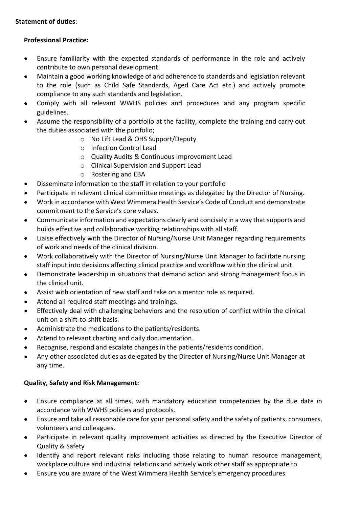# Statement of duties:

# Professional Practice:

- $\bullet$ Ensure familiarity with the expected standards of performance in the role and actively contribute to own personal development.
- Maintain a good working knowledge of and adherence to standards and legislation relevant  $\bullet$ to the role (such as Child Safe Standards, Aged Care Act etc.) and actively promote compliance to any such standards and legislation.
- Comply with all relevant WWHS policies and procedures and any program specific  $\bullet$ guidelines.
- Assume the responsibility of a portfolio at the facility, complete the training and carry out the duties associated with the portfolio;
	- o No Lift Lead & OHS Support/Deputy
	- o Infection Control Lead
	- o Quality Audits & Continuous Improvement Lead
	- o Clinical Supervision and Support Lead
	- o Rostering and EBA
- Disseminate information to the staff in relation to your portfolio  $\bullet$
- Participate in relevant clinical committee meetings as delegated by the Director of Nursing.  $\bullet$
- Work in accordance with West Wimmera Health Service's Code of Conduct and demonstrate commitment to the Service's core values.
- Communicate information and expectations clearly and concisely in a way that supports and  $\bullet$ builds effective and collaborative working relationships with all staff.
- Liaise effectively with the Director of Nursing/Nurse Unit Manager regarding requirements  $\bullet$ of work and needs of the clinical division.
- Work collaboratively with the Director of Nursing/Nurse Unit Manager to facilitate nursing  $\bullet$ staff input into decisions affecting clinical practice and workflow within the clinical unit.
- Demonstrate leadership in situations that demand action and strong management focus in  $\bullet$ the clinical unit.
- Assist with orientation of new staff and take on a mentor role as required.  $\bullet$
- Attend all required staff meetings and trainings.  $\bullet$
- Effectively deal with challenging behaviors and the resolution of conflict within the clinical  $\bullet$ unit on a shift-to-shift basis.
- Administrate the medications to the patients/residents.  $\bullet$
- Attend to relevant charting and daily documentation.  $\bullet$
- Recognise, respond and escalate changes in the patients/residents condition.  $\bullet$
- Any other associated duties as delegated by the Director of Nursing/Nurse Unit Manager at  $\bullet$ any time.

# Quality, Safety and Risk Management:

- Ensure compliance at all times, with mandatory education competencies by the due date in  $\bullet$ accordance with WWHS policies and protocols.
- Ensure and take all reasonable care for your personal safety and the safety of patients, consumers,  $\bullet$ volunteers and colleagues.
- Participate in relevant quality improvement activities as directed by the Executive Director of  $\bullet$ Quality & Safety
- Identify and report relevant risks including those relating to human resource management, workplace culture and industrial relations and actively work other staff as appropriate to
- Ensure you are aware of the West Wimmera Health Service's emergency procedures.  $\bullet$